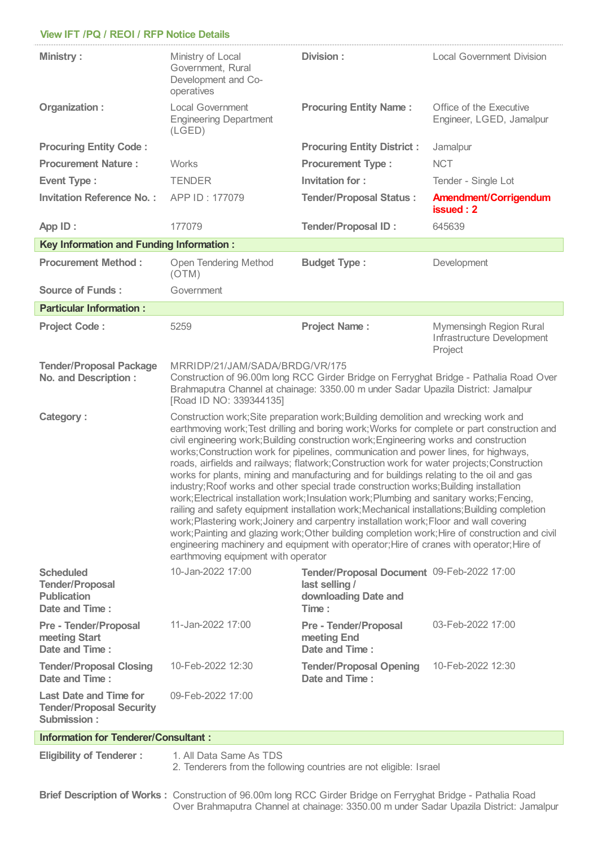## **View IFT /PQ /REOI / RFP Notice Details**

| <b>Ministry:</b>                                                                   | Ministry of Local<br>Government, Rural<br>Development and Co-<br>operatives                                                                                                                                                                                                                                                                                                                                                                                                                                                                                                                                                                                                                                                                                                                                                                                                                                                                                                                                                                                                                                                                                                                | Division:                                                                                     | <b>Local Government Division</b>                                 |
|------------------------------------------------------------------------------------|--------------------------------------------------------------------------------------------------------------------------------------------------------------------------------------------------------------------------------------------------------------------------------------------------------------------------------------------------------------------------------------------------------------------------------------------------------------------------------------------------------------------------------------------------------------------------------------------------------------------------------------------------------------------------------------------------------------------------------------------------------------------------------------------------------------------------------------------------------------------------------------------------------------------------------------------------------------------------------------------------------------------------------------------------------------------------------------------------------------------------------------------------------------------------------------------|-----------------------------------------------------------------------------------------------|------------------------------------------------------------------|
| Organization:                                                                      | <b>Local Government</b><br><b>Engineering Department</b><br>(LED)                                                                                                                                                                                                                                                                                                                                                                                                                                                                                                                                                                                                                                                                                                                                                                                                                                                                                                                                                                                                                                                                                                                          | <b>Procuring Entity Name:</b>                                                                 | Office of the Executive<br>Engineer, LGED, Jamalpur              |
| <b>Procuring Entity Code:</b>                                                      |                                                                                                                                                                                                                                                                                                                                                                                                                                                                                                                                                                                                                                                                                                                                                                                                                                                                                                                                                                                                                                                                                                                                                                                            | <b>Procuring Entity District:</b>                                                             | Jamalpur                                                         |
| <b>Procurement Nature:</b>                                                         | <b>Works</b>                                                                                                                                                                                                                                                                                                                                                                                                                                                                                                                                                                                                                                                                                                                                                                                                                                                                                                                                                                                                                                                                                                                                                                               | <b>Procurement Type:</b>                                                                      | <b>NCT</b>                                                       |
| <b>Event Type:</b>                                                                 | <b>TENDER</b>                                                                                                                                                                                                                                                                                                                                                                                                                                                                                                                                                                                                                                                                                                                                                                                                                                                                                                                                                                                                                                                                                                                                                                              | <b>Invitation for:</b>                                                                        | Tender - Single Lot                                              |
| <b>Invitation Reference No.:</b>                                                   | APP ID: 177079                                                                                                                                                                                                                                                                                                                                                                                                                                                                                                                                                                                                                                                                                                                                                                                                                                                                                                                                                                                                                                                                                                                                                                             | <b>Tender/Proposal Status:</b>                                                                | <b>Amendment/Corrigendum</b><br>issued: 2                        |
| App ID:                                                                            | 177079                                                                                                                                                                                                                                                                                                                                                                                                                                                                                                                                                                                                                                                                                                                                                                                                                                                                                                                                                                                                                                                                                                                                                                                     | <b>Tender/Proposal ID:</b>                                                                    | 645639                                                           |
| <b>Key Information and Funding Information:</b>                                    |                                                                                                                                                                                                                                                                                                                                                                                                                                                                                                                                                                                                                                                                                                                                                                                                                                                                                                                                                                                                                                                                                                                                                                                            |                                                                                               |                                                                  |
| <b>Procurement Method:</b>                                                         | Open Tendering Method<br>(OTM)                                                                                                                                                                                                                                                                                                                                                                                                                                                                                                                                                                                                                                                                                                                                                                                                                                                                                                                                                                                                                                                                                                                                                             | <b>Budget Type:</b>                                                                           | Development                                                      |
| <b>Source of Funds:</b>                                                            | Government                                                                                                                                                                                                                                                                                                                                                                                                                                                                                                                                                                                                                                                                                                                                                                                                                                                                                                                                                                                                                                                                                                                                                                                 |                                                                                               |                                                                  |
| <b>Particular Information:</b>                                                     |                                                                                                                                                                                                                                                                                                                                                                                                                                                                                                                                                                                                                                                                                                                                                                                                                                                                                                                                                                                                                                                                                                                                                                                            |                                                                                               |                                                                  |
| <b>Project Code:</b>                                                               | 5259                                                                                                                                                                                                                                                                                                                                                                                                                                                                                                                                                                                                                                                                                                                                                                                                                                                                                                                                                                                                                                                                                                                                                                                       | <b>Project Name:</b>                                                                          | Mymensingh Region Rural<br>Infrastructure Development<br>Project |
| <b>Tender/Proposal Package</b><br><b>No. and Description:</b>                      | MRRIDP/21/JAM/SADA/BRDG/VR/175<br>Construction of 96.00m long RCC Girder Bridge on Ferryghat Bridge - Pathalia Road Over<br>Brahmaputra Channel at chainage: 3350.00 m under Sadar Upazila District: Jamalpur<br>[Road ID NO: 339344135]                                                                                                                                                                                                                                                                                                                                                                                                                                                                                                                                                                                                                                                                                                                                                                                                                                                                                                                                                   |                                                                                               |                                                                  |
| <b>Category:</b>                                                                   | Construction work; Site preparation work; Building demolition and wrecking work and<br>earthmoving work; Test drilling and boring work; Works for complete or part construction and<br>civil engineering work; Building construction work; Engineering works and construction<br>works; Construction work for pipelines, communication and power lines, for highways,<br>roads, airfields and railways; flatwork; Construction work for water projects; Construction<br>works for plants, mining and manufacturing and for buildings relating to the oil and gas<br>industry; Roof works and other special trade construction works; Building installation<br>work; Electrical installation work; Insulation work; Plumbing and sanitary works; Fencing,<br>railing and safety equipment installation work; Mechanical installations; Building completion<br>work; Plastering work; Joinery and carpentry installation work; Floor and wall covering<br>work; Painting and glazing work; Other building completion work; Hire of construction and civil<br>engineering machinery and equipment with operator; Hire of cranes with operator; Hire of<br>earthmoving equipment with operator |                                                                                               |                                                                  |
| <b>Scheduled</b><br><b>Tender/Proposal</b><br><b>Publication</b><br>Date and Time: | 10-Jan-2022 17:00                                                                                                                                                                                                                                                                                                                                                                                                                                                                                                                                                                                                                                                                                                                                                                                                                                                                                                                                                                                                                                                                                                                                                                          | Tender/Proposal Document 09-Feb-2022 17:00<br>last selling /<br>downloading Date and<br>Time: |                                                                  |
| <b>Pre - Tender/Proposal</b><br>meeting Start<br>Date and Time:                    | 11-Jan-2022 17:00                                                                                                                                                                                                                                                                                                                                                                                                                                                                                                                                                                                                                                                                                                                                                                                                                                                                                                                                                                                                                                                                                                                                                                          | <b>Pre - Tender/Proposal</b><br>meeting End<br>Date and Time:                                 | 03-Feb-2022 17:00                                                |
| <b>Tender/Proposal Closing</b><br>Date and Time:                                   | 10-Feb-2022 12:30                                                                                                                                                                                                                                                                                                                                                                                                                                                                                                                                                                                                                                                                                                                                                                                                                                                                                                                                                                                                                                                                                                                                                                          | <b>Tender/Proposal Opening</b><br>Date and Time:                                              | 10-Feb-2022 12:30                                                |
| <b>Last Date and Time for</b><br><b>Tender/Proposal Security</b><br>Submission:    | 09-Feb-2022 17:00                                                                                                                                                                                                                                                                                                                                                                                                                                                                                                                                                                                                                                                                                                                                                                                                                                                                                                                                                                                                                                                                                                                                                                          |                                                                                               |                                                                  |
| <b>Information for Tenderer/Consultant:</b>                                        |                                                                                                                                                                                                                                                                                                                                                                                                                                                                                                                                                                                                                                                                                                                                                                                                                                                                                                                                                                                                                                                                                                                                                                                            |                                                                                               |                                                                  |
|                                                                                    |                                                                                                                                                                                                                                                                                                                                                                                                                                                                                                                                                                                                                                                                                                                                                                                                                                                                                                                                                                                                                                                                                                                                                                                            |                                                                                               |                                                                  |

**Eligibility of Tenderer :** 1. All Data Same As TDS

2. Tenderers from the following countries are not eligible: Israel

**Brief Description of Works :** Construction of 96.00m long RCC Girder Bridge on Ferryghat Bridge - Pathalia Road Over Brahmaputra Channel at chainage: 3350.00 m under Sadar Upazila District: Jamalpur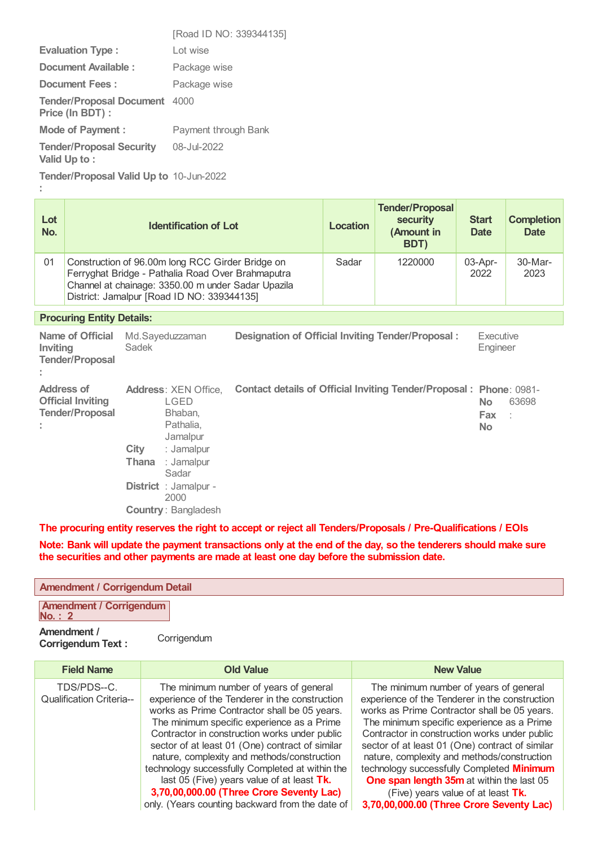|                                                     | [Road ID NO: 339344135] |
|-----------------------------------------------------|-------------------------|
| <b>Evaluation Type:</b>                             | Lot wise                |
| Document Available :                                | Package wise            |
| <b>Document Fees:</b>                               | Package wise            |
| <b>Tender/Proposal Document</b><br>Price (In BDT) : | 4000                    |
| <b>Mode of Payment:</b>                             | Payment through Bank    |
| <b>Tender/Proposal Security</b><br>Valid Up to:     | 08-Jul-2022             |
|                                                     |                         |

**Tender/Proposal Valid Up to** 10-Jun-2022

**:**

| Lot<br>No.                       |                                                                                                                                                                                                           | <b>Identification of Lot</b>                                                                                                                                                                               |                                                                            | <b>Location</b> | <b>Tender/Proposal</b><br><b>security</b><br>(Amount in<br>BDT) | <b>Start</b><br><b>Date</b>    | <b>Completion</b><br><b>Date</b> |
|----------------------------------|-----------------------------------------------------------------------------------------------------------------------------------------------------------------------------------------------------------|------------------------------------------------------------------------------------------------------------------------------------------------------------------------------------------------------------|----------------------------------------------------------------------------|-----------------|-----------------------------------------------------------------|--------------------------------|----------------------------------|
| 01                               | Construction of 96.00m long RCC Girder Bridge on<br>Ferryghat Bridge - Pathalia Road Over Brahmaputra<br>Channel at chainage: 3350.00 m under Sadar Upazila<br>District: Jamalpur [Road ID NO: 339344135] |                                                                                                                                                                                                            | Sadar                                                                      | 1220000         | 03-Apr-<br>2022                                                 | 30-Mar-<br>2023                |                                  |
| <b>Procuring Entity Details:</b> |                                                                                                                                                                                                           |                                                                                                                                                                                                            |                                                                            |                 |                                                                 |                                |                                  |
| Inviting                         | Name of Official<br><b>Tender/Proposal</b>                                                                                                                                                                | Md.Sayeduzzaman<br>Sadek                                                                                                                                                                                   | Designation of Official Inviting Tender/Proposal:<br>Executive<br>Engineer |                 |                                                                 |                                |                                  |
|                                  | Address of<br><b>Official Inviting</b><br><b>Tender/Proposal</b>                                                                                                                                          | <b>Address: XEN Office,</b><br>LGED<br>Bhaban.<br>Pathalia,<br>Jamalpur<br>City<br>: Jamalpur<br><b>Thana</b><br>: Jamalpur<br>Sadar<br><b>District</b> : Jamalpur -<br>2000<br><b>Country: Bangladesh</b> | Contact details of Official Inviting Tender/Proposal: Phone: 0981-         |                 |                                                                 | <b>No</b><br><b>Fax</b><br>No. | 63698                            |

**The procuring entity reserves the right to accept or reject all Tenders/Proposals / Pre-Qualifications / EOIs**

Note: Bank will update the payment transactions only at the end of the day, so the tenderers should make sure **the securities and other payments are made at least one day before the submission date.**

## **Amendment / Corrigendum Detail**

**Amendment / Corrigendum No. : 2**

## **Amendment / Corrigendum Text :**

**Corrigendum** 

| <b>Field Name</b>                              | <b>Old Value</b>                                                                                                                                                                                                                                                                                                                                                                                                                                                                                                                          | <b>New Value</b>                                                                                                                                                                                                                                                                                                                                                                                                                                                                                                      |
|------------------------------------------------|-------------------------------------------------------------------------------------------------------------------------------------------------------------------------------------------------------------------------------------------------------------------------------------------------------------------------------------------------------------------------------------------------------------------------------------------------------------------------------------------------------------------------------------------|-----------------------------------------------------------------------------------------------------------------------------------------------------------------------------------------------------------------------------------------------------------------------------------------------------------------------------------------------------------------------------------------------------------------------------------------------------------------------------------------------------------------------|
| TDS/PDS--C.<br><b>Qualification Criteria--</b> | The minimum number of years of general<br>experience of the Tenderer in the construction<br>works as Prime Contractor shall be 05 years.<br>The minimum specific experience as a Prime<br>Contractor in construction works under public<br>sector of at least 01 (One) contract of similar<br>nature, complexity and methods/construction<br>technology successfully Completed at within the<br>last 05 (Five) years value of at least Tk.<br>3,70,00,000.00 (Three Crore Seventy Lac)<br>only. (Years counting backward from the date of | The minimum number of years of general<br>experience of the Tenderer in the construction<br>works as Prime Contractor shall be 05 years.<br>The minimum specific experience as a Prime<br>Contractor in construction works under public<br>sector of at least 01 (One) contract of similar<br>nature, complexity and methods/construction<br>technology successfully Completed Minimum<br>One span length 35m at within the last 05<br>(Five) years value of at least Tk.<br>3,70,00,000.00 (Three Crore Seventy Lac) |